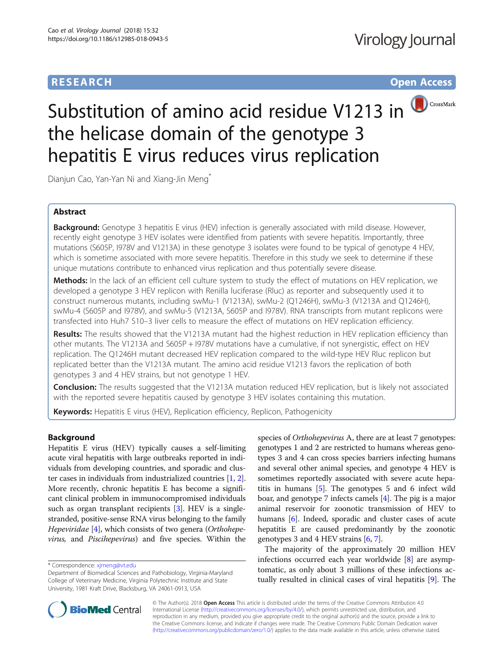# **RESEARCH RESEARCH** *CHECKER CHECKER CHECKER CHECKER CHECKER CHECKER CHECKER CHECKER CHECKER CHECKER CHECKER*



# Substitution of amino acid residue V1213 in the helicase domain of the genotype 3 hepatitis E virus reduces virus replication

Dianjun Cao, Yan-Yan Ni and Xiang-Jin Meng<sup>\*</sup>

# Abstract

Background: Genotype 3 hepatitis E virus (HEV) infection is generally associated with mild disease. However, recently eight genotype 3 HEV isolates were identified from patients with severe hepatitis. Importantly, three mutations (S605P, I978V and V1213A) in these genotype 3 isolates were found to be typical of genotype 4 HEV, which is sometime associated with more severe hepatitis. Therefore in this study we seek to determine if these unique mutations contribute to enhanced virus replication and thus potentially severe disease.

Methods: In the lack of an efficient cell culture system to study the effect of mutations on HEV replication, we developed a genotype 3 HEV replicon with Renilla luciferase (Rluc) as reporter and subsequently used it to construct numerous mutants, including swMu-1 (V1213A), swMu-2 (Q1246H), swMu-3 (V1213A and Q1246H), swMu-4 (S605P and I978V), and swMu-5 (V1213A, S605P and I978V). RNA transcripts from mutant replicons were transfected into Huh7 S10–3 liver cells to measure the effect of mutations on HEV replication efficiency.

Results: The results showed that the V1213A mutant had the highest reduction in HEV replication efficiency than other mutants. The V1213A and S605P + I978V mutations have a cumulative, if not synergistic, effect on HEV replication. The Q1246H mutant decreased HEV replication compared to the wild-type HEV Rluc replicon but replicated better than the V1213A mutant. The amino acid residue V1213 favors the replication of both genotypes 3 and 4 HEV strains, but not genotype 1 HEV.

Conclusion: The results suggested that the V1213A mutation reduced HEV replication, but is likely not associated with the reported severe hepatitis caused by genotype 3 HEV isolates containing this mutation.

Keywords: Hepatitis E virus (HEV), Replication efficiency, Replicon, Pathogenicity

# Background

Hepatitis E virus (HEV) typically causes a self-limiting acute viral hepatitis with large outbreaks reported in individuals from developing countries, and sporadic and cluster cases in individuals from industrialized countries [\[1,](#page-7-0) [2](#page-7-0)]. More recently, chronic hepatitis E has become a significant clinical problem in immunocompromised individuals such as organ transplant recipients [\[3\]](#page-7-0). HEV is a singlestranded, positive-sense RNA virus belonging to the family Hepeviridae [[4\]](#page-7-0), which consists of two genera (Orthohepevirus, and Piscihepevirus) and five species. Within the

species of Orthohepevirus A, there are at least 7 genotypes: genotypes 1 and 2 are restricted to humans whereas genotypes 3 and 4 can cross species barriers infecting humans and several other animal species, and genotype 4 HEV is sometimes reportedly associated with severe acute hepatitis in humans [\[5](#page-7-0)]. The genotypes 5 and 6 infect wild boar, and genotype 7 infects camels [[4\]](#page-7-0). The pig is a major animal reservoir for zoonotic transmission of HEV to humans [\[6\]](#page-7-0). Indeed, sporadic and cluster cases of acute hepatitis E are caused predominantly by the zoonotic genotypes 3 and 4 HEV strains [[6,](#page-7-0) [7](#page-7-0)].

The majority of the approximately 20 million HEV infections occurred each year worldwide [[8\]](#page-7-0) are asymptomatic, as only about 3 millions of these infections actually resulted in clinical cases of viral hepatitis [[9\]](#page-7-0). The



© The Author(s). 2018 Open Access This article is distributed under the terms of the Creative Commons Attribution 4.0 International License [\(http://creativecommons.org/licenses/by/4.0/](http://creativecommons.org/licenses/by/4.0/)), which permits unrestricted use, distribution, and reproduction in any medium, provided you give appropriate credit to the original author(s) and the source, provide a link to the Creative Commons license, and indicate if changes were made. The Creative Commons Public Domain Dedication waiver [\(http://creativecommons.org/publicdomain/zero/1.0/](http://creativecommons.org/publicdomain/zero/1.0/)) applies to the data made available in this article, unless otherwise stated.

<sup>\*</sup> Correspondence: [xjmeng@vt.edu](mailto:xjmeng@vt.edu)

Department of Biomedical Sciences and Pathobiology, Virginia-Maryland College of Veterinary Medicine, Virginia Polytechnic Institute and State University, 1981 Kraft Drive, Blacksburg, VA 24061-0913, USA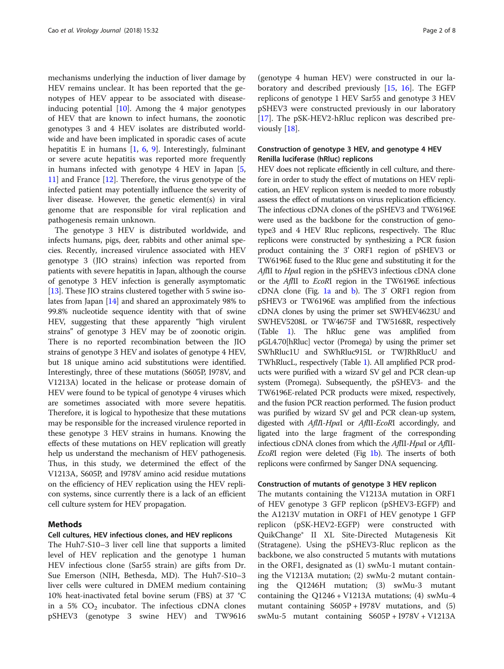mechanisms underlying the induction of liver damage by HEV remains unclear. It has been reported that the genotypes of HEV appear to be associated with diseaseinducing potential  $[10]$  $[10]$ . Among the 4 major genotypes of HEV that are known to infect humans, the zoonotic genotypes 3 and 4 HEV isolates are distributed worldwide and have been implicated in sporadic cases of acute hepatitis E in humans  $[1, 6, 9]$  $[1, 6, 9]$  $[1, 6, 9]$  $[1, 6, 9]$  $[1, 6, 9]$  $[1, 6, 9]$  $[1, 6, 9]$ . Interestingly, fulminant or severe acute hepatitis was reported more frequently in humans infected with genotype 4 HEV in Japan [\[5](#page-7-0), [11\]](#page-7-0) and France [\[12](#page-7-0)]. Therefore, the virus genotype of the infected patient may potentially influence the severity of liver disease. However, the genetic element(s) in viral genome that are responsible for viral replication and pathogenesis remain unknown.

The genotype 3 HEV is distributed worldwide, and infects humans, pigs, deer, rabbits and other animal species. Recently, increased virulence associated with HEV genotype 3 (JIO strains) infection was reported from patients with severe hepatitis in Japan, although the course of genotype 3 HEV infection is generally asymptomatic [[13](#page-7-0)]. These JIO strains clustered together with 5 swine isolates from Japan [[14\]](#page-7-0) and shared an approximately 98% to 99.8% nucleotide sequence identity with that of swine HEV, suggesting that these apparently "high virulent strains" of genotype 3 HEV may be of zoonotic origin. There is no reported recombination between the JIO strains of genotype 3 HEV and isolates of genotype 4 HEV, but 18 unique amino acid substitutions were identified. Interestingly, three of these mutations (S605P, I978V, and V1213A) located in the helicase or protease domain of HEV were found to be typical of genotype 4 viruses which are sometimes associated with more severe hepatitis. Therefore, it is logical to hypothesize that these mutations may be responsible for the increased virulence reported in these genotype 3 HEV strains in humans. Knowing the effects of these mutations on HEV replication will greatly help us understand the mechanism of HEV pathogenesis. Thus, in this study, we determined the effect of the V1213A, S605P, and I978V amino acid residue mutations on the efficiency of HEV replication using the HEV replicon systems, since currently there is a lack of an efficient cell culture system for HEV propagation.

# Methods

#### Cell cultures, HEV infectious clones, and HEV replicons

The Huh7-S10–3 liver cell line that supports a limited level of HEV replication and the genotype 1 human HEV infectious clone (Sar55 strain) are gifts from Dr. Sue Emerson (NIH, Bethesda, MD). The Huh7-S10–3 liver cells were cultured in DMEM medium containing 10% heat-inactivated fetal bovine serum (FBS) at 37 °C in a 5%  $CO<sub>2</sub>$  incubator. The infectious cDNA clones pSHEV3 (genotype 3 swine HEV) and TW9616

(genotype 4 human HEV) were constructed in our laboratory and described previously [\[15](#page-7-0), [16\]](#page-7-0). The EGFP replicons of genotype 1 HEV Sar55 and genotype 3 HEV pSHEV3 were constructed previously in our laboratory [[17\]](#page-7-0). The pSK-HEV2-hRluc replicon was described previously [\[18\]](#page-7-0).

# Construction of genotype 3 HEV, and genotype 4 HEV Renilla luciferase (hRluc) replicons

HEV does not replicate efficiently in cell culture, and therefore in order to study the effect of mutations on HEV replication, an HEV replicon system is needed to more robustly assess the effect of mutations on virus replication efficiency. The infectious cDNA clones of the pSHEV3 and TW6196E were used as the backbone for the construction of genotype3 and 4 HEV Rluc replicons, respectively. The Rluc replicons were constructed by synthesizing a PCR fusion product containing the 3' ORF1 region of pSHEV3 or TW6196E fused to the Rluc gene and substituting it for the AflII to *HpaI* region in the pSHEV3 infectious cDNA clone or the AflII to EcoRI region in the TW6196E infectious cDNA clone (Fig. [1a](#page-2-0) and [b](#page-2-0)). The 3' ORF1 region from pSHEV3 or TW6196E was amplified from the infectious cDNA clones by using the primer set SWHEV4623U and SWHEV5208L or TW4675F and TW5168R, respectively (Table [1](#page-3-0)). The hRluc gene was amplified from pGL4.70[hRluc] vector (Promega) by using the primer set SWhRluc1U and SWhRluc915L or TWJRhRlucU and TWhRlucL, respectively (Table [1](#page-3-0)). All amplified PCR products were purified with a wizard SV gel and PCR clean-up system (Promega). Subsequently, the pSHEV3- and the TW6196E-related PCR products were mixed, respectively, and the fusion PCR reaction performed. The fusion product was purified by wizard SV gel and PCR clean-up system, digested with AflII-HpaI or AflII-EcoRI accordingly, and ligated into the large fragment of the corresponding infectious cDNA clones from which the AflII-HpaI or AflII-EcoRI region were deleted (Fig [1b](#page-2-0)). The inserts of both replicons were confirmed by Sanger DNA sequencing.

#### Construction of mutants of genotype 3 HEV replicon

The mutants containing the V1213A mutation in ORF1 of HEV genotype 3 GFP replicon (pSHEV3-EGFP) and the A1213V mutation in ORF1 of HEV genotype 1 GFP replicon (pSK-HEV2-EGFP) were constructed with QuikChange® II XL Site-Directed Mutagenesis Kit (Stratagene). Using the pSHEV3-Rluc replicon as the backbone, we also constructed 5 mutants with mutations in the ORF1, designated as (1) swMu-1 mutant containing the V1213A mutation; (2) swMu-2 mutant containing the Q1246H mutation; (3) swMu-3 mutant containing the  $Q1246 + V1213A$  mutations; (4) swMu-4 mutant containing  $S605P + I978V$  mutations, and (5) swMu-5 mutant containing S605P + I978V + V1213A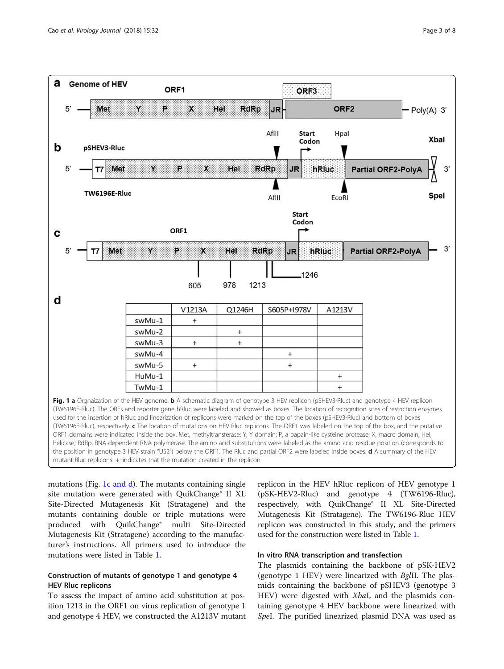

<span id="page-2-0"></span>

mutations (Fig. 1c and  $d$ ). The mutants containing single site mutation were generated with QuikChange® II XL Site-Directed Mutagenesis Kit (Stratagene) and the mutants containing double or triple mutations were produced with QuikChange® multi Site-Directed Mutagenesis Kit (Stratagene) according to the manufacturer's instructions. All primers used to introduce the mutations were listed in Table [1.](#page-3-0)

# Construction of mutants of genotype 1 and genotype 4 HEV Rluc replicons

To assess the impact of amino acid substitution at position 1213 in the ORF1 on virus replication of genotype 1 and genotype 4 HEV, we constructed the A1213V mutant replicon in the HEV hRluc replicon of HEV genotype 1 (pSK-HEV2-Rluc) and genotype 4 (TW6196-Rluc), respectively, with QuikChange® II XL Site-Directed Mutagenesis Kit (Stratagene). The TW6196-Rluc HEV replicon was constructed in this study, and the primers used for the construction were listed in Table [1](#page-3-0).

# In vitro RNA transcription and transfection

The plasmids containing the backbone of pSK-HEV2 (genotype 1 HEV) were linearized with BglII. The plasmids containing the backbone of pSHEV3 (genotype 3 HEV) were digested with *XbaI*, and the plasmids containing genotype 4 HEV backbone were linearized with SpeI. The purified linearized plasmid DNA was used as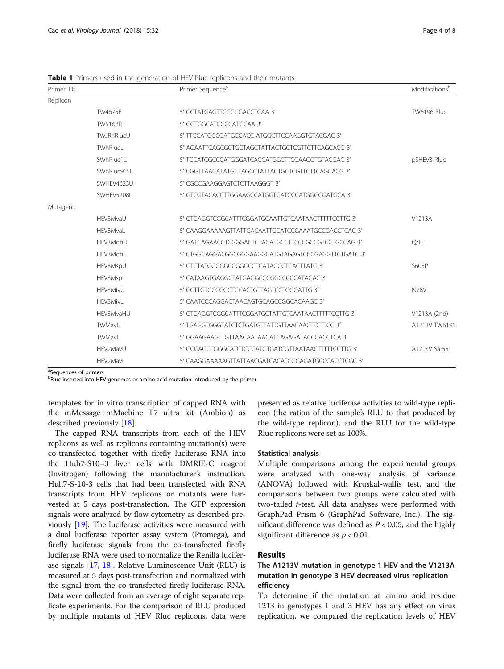| Primer IDs |                 | Primer Sequence <sup>a</sup>                        | Modificationsb     |
|------------|-----------------|-----------------------------------------------------|--------------------|
| Replicon   |                 |                                                     |                    |
|            | TW4675F         | 5' GCTATGAGTTCCGGGACCTCAA 3'                        | <b>TW6196-Rluc</b> |
|            | <b>TW5168R</b>  | 5' GGTGGCATCGCCATGCAA 3'                            |                    |
|            | TWJRhRlucU      | 5' TTGCATGGCGATGCCACC ATGGCTTCCAAGGTGTACGAC 3'      |                    |
|            | <b>TWhRlucL</b> | 5' AGAATTCAGCGCTGCTAGCTATTACTGCTCGTTCTTCAGCACG 3'   |                    |
|            | SWhRluc1U       | 5' TGCATCGCCCATGGGATCACCATGGCTTCCAAGGTGTACGAC 3'    | pSHEV3-Rluc        |
|            | SWhRluc915L     | 5' CGGTTAACATATGCTAGCCTATTACTGCTCGTTCTTCAGCACG 3'   |                    |
|            | SWHEV4623U      | 5' CGCCGAAGGAGTCTCTTAAGGGT 3'                       |                    |
|            | SWHEV5208L      | 5' GTCGTACACCTTGGAAGCCATGGTGATCCCATGGGCGATGCA 3'    |                    |
| Mutagenic  |                 |                                                     |                    |
|            | HFV3MvaU        | 5' GTGAGGTCGGCATTTCGGATGCAATTGTCAATAACTTTTTCCTTG 3' | V1213A             |
|            | HEV3MvaL        | 5' CAAGGAAAAAGTTATTGACAATTGCATCCGAAATGCCGACCTCAC 3' |                    |
|            | HEV3MghU        | 5' GATCAGAACCTCGGGACTCTACATGCCTTCCCGCCGTCCTGCCAG 3' | O/H                |
|            | HEV3MghL        | 5' CTGGCAGGACGGCGGGAAGGCATGTAGAGTCCCGAGGTTCTGATC 3' |                    |
|            | HEV3MspU        | 5' GTCTATGGGGGCCGGGCCTCATAGCCTCACTTATG 3'           | S605P              |
|            | HEV3MspL        | 5' CATAAGTGAGGCTATGAGGCCCGGCCCCCATAGAC 3'           |                    |
|            | HEV3MivU        | 5' GCTTGTGCCGGCTGCACTGTTAGTCCTGGGATTG 3'            | <b>1978V</b>       |
|            | HEV3MivL        | 5' CAATCCCAGGACTAACAGTGCAGCCGGCACAAGC 3'            |                    |
|            | HEV3MvaHU       | 5' GTGAGGTCGGCATTTCGGATGCTATTGTCAATAACTTTTTCCTTG 3' | V1213A (2nd)       |
|            | TWMavU          | 5' TGAGGTGGGTATCTCTGATGTTATTGTTAACAACTTCTTCC 3'     | A1213V TW6196      |
|            | TWMavL          | 5' GGAAGAAGTTGTTAACAATAACATCAGAGATACCCACCTCA 3'     |                    |
|            | HEV2MavU        | 5' GCGAGGTGGGCATCTCCGATGTGATCGTTAATAACTTTTTCCTTG 3' | A1213V Sar55       |
|            | HEV2MavL        | 5' CAAGGAAAAAGTTATTAACGATCACATCGGAGATGCCCACCTCGC 3' |                    |

<span id="page-3-0"></span>Table 1 Primers used in the generation of HEV Rluc replicons and their mutants

<sup>a</sup>Sequences of primers

<sup>b</sup>Rluc inserted into HEV genomes or amino acid mutation introduced by the primer

templates for in vitro transcription of capped RNA with the mMessage mMachine T7 ultra kit (Ambion) as described previously [\[18\]](#page-7-0).

The capped RNA transcripts from each of the HEV replicons as well as replicons containing mutation(s) were co-transfected together with firefly luciferase RNA into the Huh7-S10–3 liver cells with DMRIE-C reagent (Invitrogen) following the manufacturer's instruction. Huh7-S-10-3 cells that had been transfected with RNA transcripts from HEV replicons or mutants were harvested at 5 days post-transfection. The GFP expression signals were analyzed by flow cytometry as described previously [\[19\]](#page-7-0). The luciferase activities were measured with a dual luciferase reporter assay system (Promega), and firefly luciferase signals from the co-transfected firefly luciferase RNA were used to normalize the Renilla luciferase signals [[17](#page-7-0), [18\]](#page-7-0). Relative Luminescence Unit (RLU) is measured at 5 days post-transfection and normalized with the signal from the co-transfected firefly luciferase RNA. Data were collected from an average of eight separate replicate experiments. For the comparison of RLU produced by multiple mutants of HEV Rluc replicons, data were

presented as relative luciferase activities to wild-type replicon (the ration of the sample's RLU to that produced by the wild-type replicon), and the RLU for the wild-type Rluc replicons were set as 100%.

#### Statistical analysis

Multiple comparisons among the experimental groups were analyzed with one-way analysis of variance (ANOVA) followed with Kruskal-wallis test, and the comparisons between two groups were calculated with two-tailed  $t$ -test. All data analyses were performed with GraphPad Prism 6 (GraphPad Software, Inc.). The significant difference was defined as  $P < 0.05$ , and the highly significant difference as  $p < 0.01$ .

### Results

# The A1213V mutation in genotype 1 HEV and the V1213A mutation in genotype 3 HEV decreased virus replication efficiency

To determine if the mutation at amino acid residue 1213 in genotypes 1 and 3 HEV has any effect on virus replication, we compared the replication levels of HEV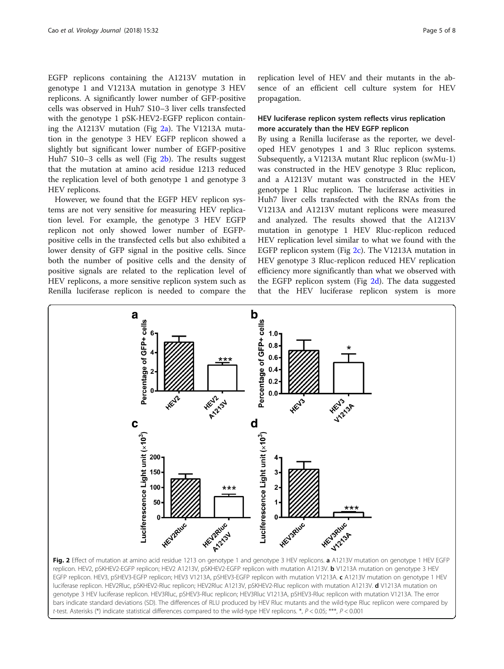EGFP replicons containing the A1213V mutation in genotype 1 and V1213A mutation in genotype 3 HEV replicons. A significantly lower number of GFP-positive cells was observed in Huh7 S10–3 liver cells transfected with the genotype 1 pSK-HEV2-EGFP replicon containing the A1213V mutation (Fig  $2a$ ). The V1213A mutation in the genotype 3 HEV EGFP replicon showed a slightly but significant lower number of EGFP-positive Huh7 S10–3 cells as well (Fig 2b). The results suggest that the mutation at amino acid residue 1213 reduced the replication level of both genotype 1 and genotype 3 HEV replicons.

However, we found that the EGFP HEV replicon systems are not very sensitive for measuring HEV replication level. For example, the genotype 3 HEV EGFP replicon not only showed lower number of EGFPpositive cells in the transfected cells but also exhibited a lower density of GFP signal in the positive cells. Since both the number of positive cells and the density of positive signals are related to the replication level of HEV replicons, a more sensitive replicon system such as Renilla luciferase replicon is needed to compare the replication level of HEV and their mutants in the absence of an efficient cell culture system for HEV propagation.

# HEV luciferase replicon system reflects virus replication more accurately than the HEV EGFP replicon

By using a Renilla luciferase as the reporter, we developed HEV genotypes 1 and 3 Rluc replicon systems. Subsequently, a V1213A mutant Rluc replicon (swMu-1) was constructed in the HEV genotype 3 Rluc replicon, and a A1213V mutant was constructed in the HEV genotype 1 Rluc replicon. The luciferase activities in Huh7 liver cells transfected with the RNAs from the V1213A and A1213V mutant replicons were measured and analyzed. The results showed that the A1213V mutation in genotype 1 HEV Rluc-replicon reduced HEV replication level similar to what we found with the EGFP replicon system (Fig 2c). The V1213A mutation in HEV genotype 3 Rluc-replicon reduced HEV replication efficiency more significantly than what we observed with the EGFP replicon system (Fig 2d). The data suggested that the HEV luciferase replicon system is more



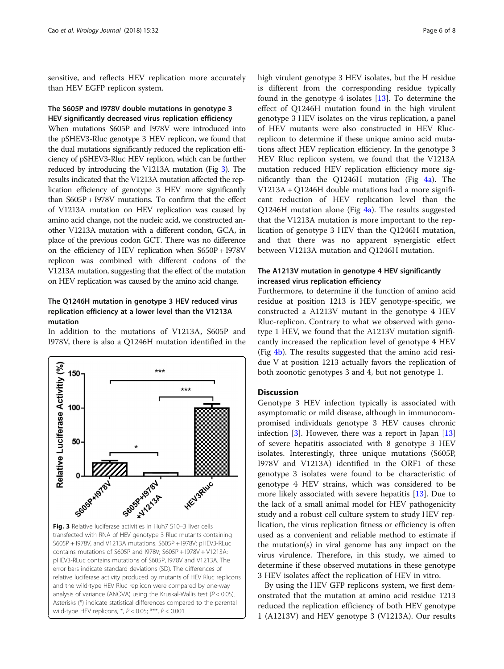sensitive, and reflects HEV replication more accurately than HEV EGFP replicon system.

# The S605P and I978V double mutations in genotype 3 HEV significantly decreased virus replication efficiency

When mutations S605P and I978V were introduced into the pSHEV3-Rluc genotype 3 HEV replicon, we found that the dual mutations significantly reduced the replication efficiency of pSHEV3-Rluc HEV replicon, which can be further reduced by introducing the V1213A mutation (Fig 3). The results indicated that the V1213A mutation affected the replication efficiency of genotype 3 HEV more significantly than S605P + I978V mutations. To confirm that the effect of V1213A mutation on HEV replication was caused by amino acid change, not the nucleic acid, we constructed another V1213A mutation with a different condon, GCA, in place of the previous codon GCT. There was no difference on the efficiency of HEV replication when S650P + I978V replicon was combined with different codons of the V1213A mutation, suggesting that the effect of the mutation on HEV replication was caused by the amino acid change.

# The Q1246H mutation in genotype 3 HEV reduced virus replication efficiency at a lower level than the V1213A mutation

In addition to the mutations of V1213A, S605P and I978V, there is also a Q1246H mutation identified in the



high virulent genotype 3 HEV isolates, but the H residue is different from the corresponding residue typically found in the genotype 4 isolates  $[13]$  $[13]$ . To determine the effect of Q1246H mutation found in the high virulent genotype 3 HEV isolates on the virus replication, a panel of HEV mutants were also constructed in HEV Rlucreplicon to determine if these unique amino acid mutations affect HEV replication efficiency. In the genotype 3 HEV Rluc replicon system, we found that the V1213A mutation reduced HEV replication efficiency more significantly than the Q1246H mutation (Fig [4a](#page-6-0)). The V1213A + Q1246H double mutations had a more significant reduction of HEV replication level than the Q1246H mutation alone (Fig  $4a$ ). The results suggested that the V1213A mutation is more important to the replication of genotype 3 HEV than the Q1246H mutation, and that there was no apparent synergistic effect between V1213A mutation and Q1246H mutation.

# The A1213V mutation in genotype 4 HEV significantly increased virus replication efficiency

Furthermore, to determine if the function of amino acid residue at position 1213 is HEV genotype-specific, we constructed a A1213V mutant in the genotype 4 HEV Rluc-replicon. Contrary to what we observed with genotype 1 HEV, we found that the A1213V mutation significantly increased the replication level of genotype 4 HEV (Fig [4b\)](#page-6-0). The results suggested that the amino acid residue V at position 1213 actually favors the replication of both zoonotic genotypes 3 and 4, but not genotype 1.

# **Discussion**

Genotype 3 HEV infection typically is associated with asymptomatic or mild disease, although in immunocompromised individuals genotype 3 HEV causes chronic infection [[3\]](#page-7-0). However, there was a report in Japan [[13](#page-7-0)] of severe hepatitis associated with 8 genotype 3 HEV isolates. Interestingly, three unique mutations (S605P, I978V and V1213A) identified in the ORF1 of these genotype 3 isolates were found to be characteristic of genotype 4 HEV strains, which was considered to be more likely associated with severe hepatitis [\[13\]](#page-7-0). Due to the lack of a small animal model for HEV pathogenicity study and a robust cell culture system to study HEV replication, the virus replication fitness or efficiency is often used as a convenient and reliable method to estimate if the mutation(s) in viral genome has any impact on the virus virulence. Therefore, in this study, we aimed to determine if these observed mutations in these genotype 3 HEV isolates affect the replication of HEV in vitro.

By using the HEV GFP replicons system, we first demonstrated that the mutation at amino acid residue 1213 reduced the replication efficiency of both HEV genotype 1 (A1213V) and HEV genotype 3 (V1213A). Our results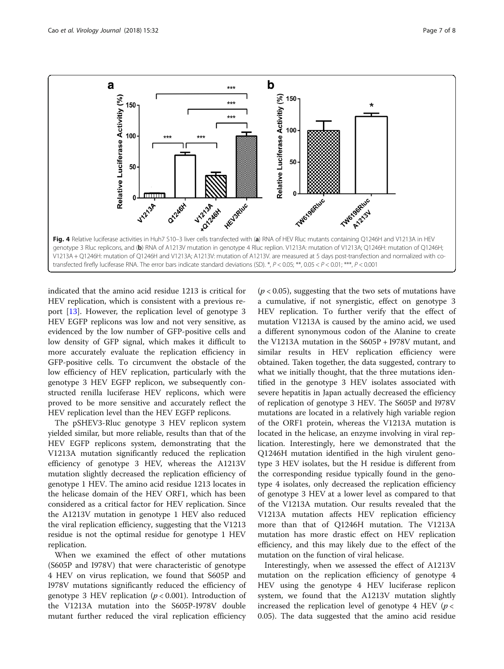<span id="page-6-0"></span>

indicated that the amino acid residue 1213 is critical for HEV replication, which is consistent with a previous report [[13](#page-7-0)]. However, the replication level of genotype 3 HEV EGFP replicons was low and not very sensitive, as evidenced by the low number of GFP-positive cells and low density of GFP signal, which makes it difficult to more accurately evaluate the replication efficiency in GFP-positive cells. To circumvent the obstacle of the low efficiency of HEV replication, particularly with the genotype 3 HEV EGFP replicon, we subsequently constructed renilla luciferase HEV replicons, which were proved to be more sensitive and accurately reflect the HEV replication level than the HEV EGFP replicons.

The pSHEV3-Rluc genotype 3 HEV replicon system yielded similar, but more reliable, results than that of the HEV EGFP replicons system, demonstrating that the V1213A mutation significantly reduced the replication efficiency of genotype 3 HEV, whereas the A1213V mutation slightly decreased the replication efficiency of genotype 1 HEV. The amino acid residue 1213 locates in the helicase domain of the HEV ORF1, which has been considered as a critical factor for HEV replication. Since the A1213V mutation in genotype 1 HEV also reduced the viral replication efficiency, suggesting that the V1213 residue is not the optimal residue for genotype 1 HEV replication.

When we examined the effect of other mutations (S605P and I978V) that were characteristic of genotype 4 HEV on virus replication, we found that S605P and I978V mutations significantly reduced the efficiency of genotype 3 HEV replication ( $p < 0.001$ ). Introduction of the V1213A mutation into the S605P-I978V double mutant further reduced the viral replication efficiency

 $(p < 0.05)$ , suggesting that the two sets of mutations have a cumulative, if not synergistic, effect on genotype 3 HEV replication. To further verify that the effect of mutation V1213A is caused by the amino acid, we used a different synonymous codon of the Alanine to create the V1213A mutation in the S605P + I978V mutant, and similar results in HEV replication efficiency were obtained. Taken together, the data suggested, contrary to what we initially thought, that the three mutations identified in the genotype 3 HEV isolates associated with severe hepatitis in Japan actually decreased the efficiency of replication of genotype 3 HEV. The S605P and I978V mutations are located in a relatively high variable region of the ORF1 protein, whereas the V1213A mutation is located in the helicase, an enzyme involving in viral replication. Interestingly, here we demonstrated that the Q1246H mutation identified in the high virulent genotype 3 HEV isolates, but the H residue is different from the corresponding residue typically found in the genotype 4 isolates, only decreased the replication efficiency of genotype 3 HEV at a lower level as compared to that of the V1213A mutation. Our results revealed that the V1213A mutation affects HEV replication efficiency more than that of Q1246H mutation. The V1213A mutation has more drastic effect on HEV replication efficiency, and this may likely due to the effect of the mutation on the function of viral helicase.

Interestingly, when we assessed the effect of A1213V mutation on the replication efficiency of genotype 4 HEV using the genotype 4 HEV luciferase replicon system, we found that the A1213V mutation slightly increased the replication level of genotype 4 HEV ( $p <$ 0.05). The data suggested that the amino acid residue